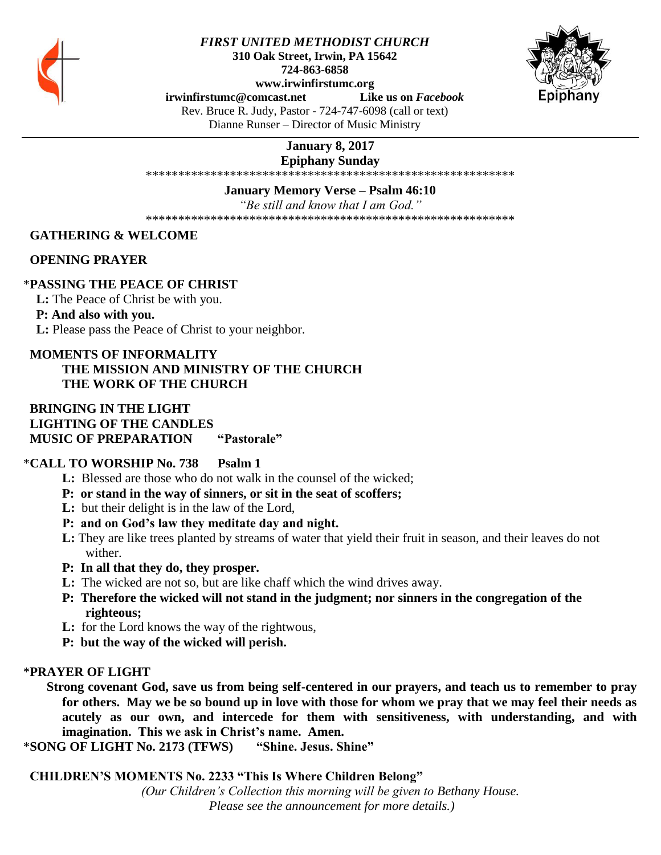

### *FIRST UNITED METHODIST CHURCH* **310 Oak Street, Irwin, PA 15642 724-863-6858 www.irwinfirstumc.org**



**[irwinfirstumc@comcast.net](mailto:irwinfirstumc@comcast.net) Like us on** *Facebook*

Rev. Bruce R. Judy, Pastor - 724-747-6098 (call or text) Dianne Runser – Director of Music Ministry

# **January 8, 2017**

**Epiphany Sunday**

\*\*\*\*\*\*\*\*\*\*\*\*\*\*\*\*\*\*\*\*\*\*\*\*\*\*\*\*\*\*\*\*\*\*\*\*\*\*\*\*\*\*\*\*\*\*\*\*\*\*\*\*\*\*\*\*\*

**January Memory Verse – Psalm 46:10**

*"Be still and know that I am God."*

\*\*\*\*\*\*\*\*\*\*\*\*\*\*\*\*\*\*\*\*\*\*\*\*\*\*\*\*\*\*\*\*\*\*\*\*\*\*\*\*\*\*\*\*\*\*\*\*\*\*\*\*\*\*\*\*\*

 **GATHERING & WELCOME** 

 **OPENING PRAYER**

## \***PASSING THE PEACE OF CHRIST**

 **L:** The Peace of Christ be with you.

 **P: And also with you.**

 **L:** Please pass the Peace of Christ to your neighbor.

### **MOMENTS OF INFORMALITY THE MISSION AND MINISTRY OF THE CHURCH THE WORK OF THE CHURCH**

### **BRINGING IN THE LIGHT LIGHTING OF THE CANDLES MUSIC OF PREPARATION "Pastorale"**

## \***CALL TO WORSHIP No. 738 Psalm 1**

- **L:** Blessed are those who do not walk in the counsel of the wicked;
- **P: or stand in the way of sinners, or sit in the seat of scoffers;**
- **L:** but their delight is in the law of the Lord,
- **P: and on God's law they meditate day and night.**
- **L:** They are like trees planted by streams of water that yield their fruit in season, and their leaves do not wither.
- **P: In all that they do, they prosper.**
- **L:** The wicked are not so, but are like chaff which the wind drives away.
- **P: Therefore the wicked will not stand in the judgment; nor sinners in the congregation of the righteous;**
- **L:** for the Lord knows the way of the rightwous,
- **P: but the way of the wicked will perish.**

## \***PRAYER OF LIGHT**

**Strong covenant God, save us from being self-centered in our prayers, and teach us to remember to pray for others. May we be so bound up in love with those for whom we pray that we may feel their needs as acutely as our own, and intercede for them with sensitiveness, with understanding, and with imagination. This we ask in Christ's name. Amen.**

\***SONG OF LIGHT No. 2173 (TFWS) "Shine. Jesus. Shine"**

 **CHILDREN'S MOMENTS No. 2233 "This Is Where Children Belong"**

*(Our Children's Collection this morning will be given to Bethany House. Please see the announcement for more details.)*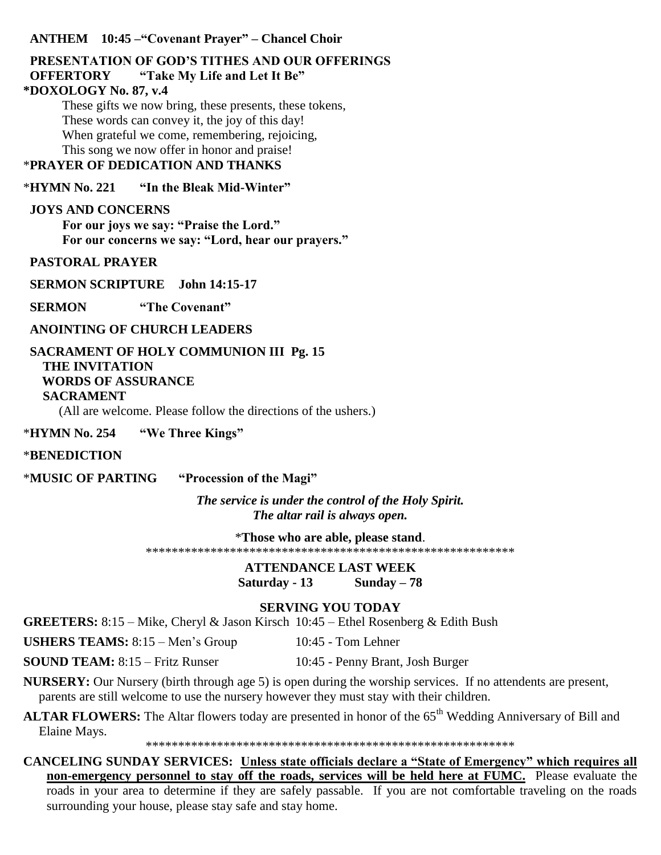### **ANTHEM 10:45 –"Covenant Prayer" – Chancel Choir**

### **PRESENTATION OF GOD'S TITHES AND OUR OFFERINGS OFFERTORY "Take My Life and Let It Be" \*DOXOLOGY No. 87, v.4**

These gifts we now bring, these presents, these tokens, These words can convey it, the joy of this day! When grateful we come, remembering, rejoicing, This song we now offer in honor and praise!

# \***PRAYER OF DEDICATION AND THANKS**

\***HYMN No. 221 "In the Bleak Mid-Winter"**

## **JOYS AND CONCERNS**

**For our joys we say: "Praise the Lord." For our concerns we say: "Lord, hear our prayers."**

 **PASTORAL PRAYER** 

 **SERMON SCRIPTURE John 14:15-17**

**SERMON** "The Covenant"

 **ANOINTING OF CHURCH LEADERS**

# **SACRAMENT OF HOLY COMMUNION III Pg. 15 THE INVITATION WORDS OF ASSURANCE**

### **SACRAMENT**

(All are welcome. Please follow the directions of the ushers.)

\***HYMN No. 254 "We Three Kings"**

## \***BENEDICTION**

\***MUSIC OF PARTING "Procession of the Magi"**

*The service is under the control of the Holy Spirit. The altar rail is always open.*

\***Those who are able, please stand**.

\*\*\*\*\*\*\*\*\*\*\*\*\*\*\*\*\*\*\*\*\*\*\*\*\*\*\*\*\*\*\*\*\*\*\*\*\*\*\*\*\*\*\*\*\*\*\*\*\*\*\*\*\*\*\*\*\*

**ATTENDANCE LAST WEEK Saturday - 13 Sunday – 78**

## **SERVING YOU TODAY**

**GREETERS:** 8:15 – Mike, Cheryl & Jason Kirsch 10:45 – Ethel Rosenberg & Edith Bush

**USHERS TEAMS:**  $8:15 - \text{Men's Group}$  10:45 - Tom Lehner

**SOUND TEAM:** 8:15 – Fritz Runser 10:45 - Penny Brant, Josh Burger

**NURSERY:** Our Nursery (birth through age 5) is open during the worship services. If no attendents are present, parents are still welcome to use the nursery however they must stay with their children.

**ALTAR FLOWERS:** The Altar flowers today are presented in honor of the 65<sup>th</sup> Wedding Anniversary of Bill and Elaine Mays.

\*\*\*\*\*\*\*\*\*\*\*\*\*\*\*\*\*\*\*\*\*\*\*\*\*\*\*\*\*\*\*\*\*\*\*\*\*\*\*\*\*\*\*\*\*\*\*\*\*\*\*\*\*\*\*\*\*

**CANCELING SUNDAY SERVICES: Unless state officials declare a "State of Emergency" which requires all non-emergency personnel to stay off the roads, services will be held here at FUMC.** Please evaluate the roads in your area to determine if they are safely passable. If you are not comfortable traveling on the roads surrounding your house, please stay safe and stay home.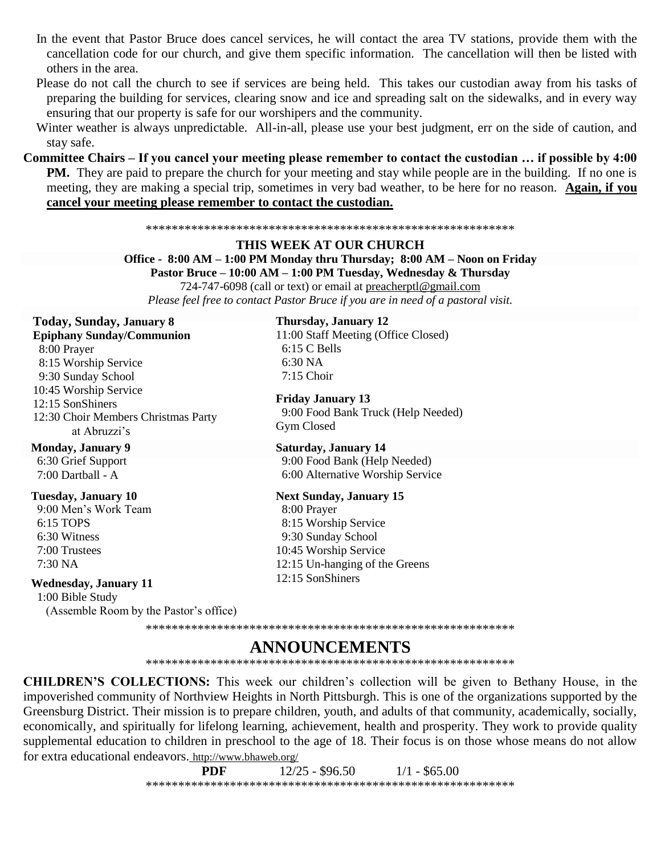- In the event that Pastor Bruce does cancel services, he will contact the area TV stations, provide them with the cancellation code for our church, and give them specific information. The cancellation will then be listed with others in the area.
- Please do not call the church to see if services are being held. This takes our custodian away from his tasks of preparing the building for services, clearing snow and ice and spreading salt on the sidewalks, and in every way ensuring that our property is safe for our worshipers and the community.
- Winter weather is always unpredictable. All-in-all, please use your best judgment, err on the side of caution, and stay safe.
- Committee Chairs If you cancel your meeting please remember to contact the custodian ... if possible by 4:00 **PM.** They are paid to prepare the church for your meeting and stay while people are in the building. If no one is meeting, they are making a special trip, sometimes in very bad weather, to be here for no reason. Again, if you cancel your meeting please remember to contact the custodian.

#### 

#### **THIS WEEK AT OUR CHURCH**

Office - 8:00 AM – 1:00 PM Monday thru Thursday; 8:00 AM – Noon on Friday Pastor Bruce - 10:00 AM - 1:00 PM Tuesday, Wednesday & Thursday 724-747-6098 (call or text) or email at preacherptl@gmail.com Please feel free to contact Pastor Bruce if you are in need of a pastoral visit.

# Today, Sunday, January 8

**Epiphany Sunday/Communion** 8:00 Prayer 8:15 Worship Service 9:30 Sunday School 10:45 Worship Service 12:15 SonShiners 12:30 Choir Members Christmas Party at Abruzzi's

### **Monday, January 9** 6:30 Grief Support

7:00 Dartball - A

### **Tuesday, January 10**

9:00 Men's Work Team 6:15 TOPS 6:30 Witness 7:00 Trustees 7:30 NA

### **Wednesday, January 11**

1:00 Bible Study (Assemble Room by the Pastor's office)

### Thursday, January 12

11:00 Staff Meeting (Office Closed)  $6:15$  C Bells 6:30 NA  $7:15$  Choir

**Friday January 13** 9:00 Food Bank Truck (Help Needed) Gym Closed

**Saturday, January 14** 9:00 Food Bank (Help Needed) 6:00 Alternative Worship Service

### **Next Sunday, January 15**

8:00 Prayer 8:15 Worship Service 9:30 Sunday School 10:45 Worship Service 12:15 Un-hanging of the Greens 12:15 SonShiners

#### 

# **ANNOUNCEMENTS**

**CHILDREN'S COLLECTIONS:** This week our children's collection will be given to Bethany House, in the impoverished community of Northview Heights in North Pittsburgh. This is one of the organizations supported by the Greensburg District. Their mission is to prepare children, youth, and adults of that community, academically, socially, economically, and spiritually for lifelong learning, achievement, health and prosperity. They work to provide quality supplemental education to children in preschool to the age of 18. Their focus is on those whose means do not allow for extra educational endeavors. http://www.bhaweb.org/

> **PDF**  $12/25 - $96.50$  $1/1 - $65.00$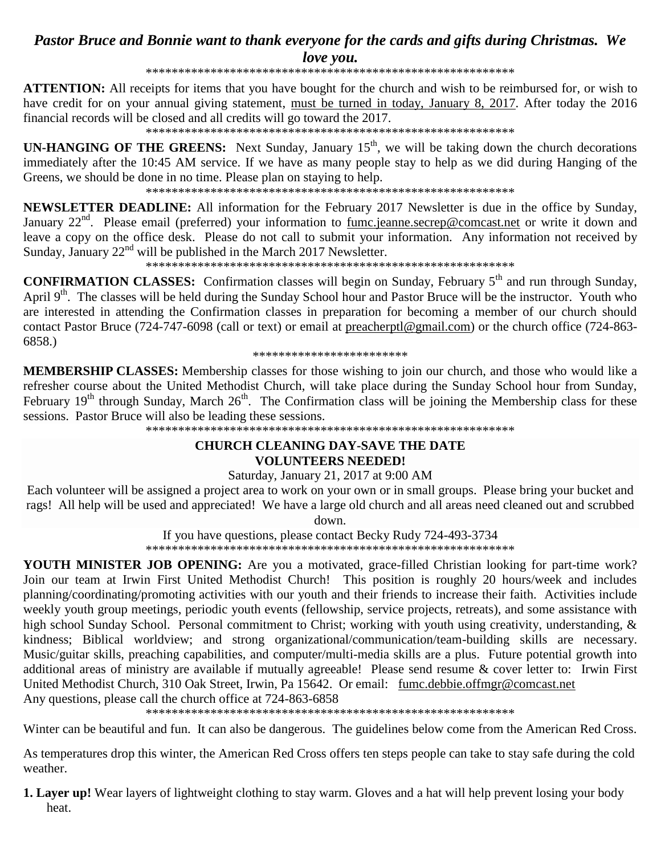# Pastor Bruce and Bonnie want to thank everyone for the cards and gifts during Christmas. We love you.

**ATTENTION:** All receipts for items that you have bought for the church and wish to be reimbursed for, or wish to have credit for on your annual giving statement, must be turned in today, January 8, 2017. After today the 2016 financial records will be closed and all credits will go toward the 2017.

**UN-HANGING OF THE GREENS:** Next Sunday, January  $15<sup>th</sup>$ , we will be taking down the church decorations immediately after the 10:45 AM service. If we have as many people stay to help as we did during Hanging of the Greens, we should be done in no time. Please plan on staying to help.

**NEWSLETTER DEADLINE:** All information for the February 2017 Newsletter is due in the office by Sunday, January 22<sup>nd</sup>. Please email (preferred) your information to fumc.jeanne.secrep@comcast.net or write it down and leave a copy on the office desk. Please do not call to submit your information. Any information not received by Sunday, January  $22<sup>nd</sup>$  will be published in the March 2017 Newsletter.

**CONFIRMATION CLASSES:** Confirmation classes will begin on Sunday, February 5<sup>th</sup> and run through Sunday, April 9<sup>th</sup>. The classes will be held during the Sunday School hour and Pastor Bruce will be the instructor. Youth who are interested in attending the Confirmation classes in preparation for becoming a member of our church should contact Pastor Bruce (724-747-6098 (call or text) or email at preacherptl@gmail.com) or the church office (724-863- $6858.$ 

\*\*\*\*\*\*\*\*\*\*\*\*\*\*\*\*\*\*\*\*\*\*\*\*

MEMBERSHIP CLASSES: Membership classes for those wishing to join our church, and those who would like a refresher course about the United Methodist Church, will take place during the Sunday School hour from Sunday, February  $19<sup>th</sup>$  through Sunday, March  $26<sup>th</sup>$ . The Confirmation class will be joining the Membership class for these sessions. Pastor Bruce will also be leading these sessions.

### **CHURCH CLEANING DAY-SAVE THE DATE VOLUNTEERS NEEDED!**

### Saturday, January 21, 2017 at 9:00 AM

Each volunteer will be assigned a project area to work on your own or in small groups. Please bring your bucket and rags! All help will be used and appreciated! We have a large old church and all areas need cleaned out and scrubbed

down.

If you have questions, please contact Becky Rudy 724-493-3734 

YOUTH MINISTER JOB OPENING: Are you a motivated, grace-filled Christian looking for part-time work? Join our team at Irwin First United Methodist Church! This position is roughly 20 hours/week and includes planning/coordinating/promoting activities with our youth and their friends to increase their faith. Activities include weekly youth group meetings, periodic youth events (fellowship, service projects, retreats), and some assistance with high school Sunday School. Personal commitment to Christ; working with youth using creativity, understanding, & kindness; Biblical worldview; and strong organizational/communication/team-building skills are necessary. Music/guitar skills, preaching capabilities, and computer/multi-media skills are a plus. Future potential growth into additional areas of ministry are available if mutually agreeable! Please send resume & cover letter to: Irwin First United Methodist Church, 310 Oak Street, Irwin, Pa 15642. Or email: fumc.debbie.offmgr@comcast.net Any questions, please call the church office at 724-863-6858

Winter can be beautiful and fun. It can also be dangerous. The guidelines below come from the American Red Cross.

As temperatures drop this winter, the American Red Cross offers ten steps people can take to stay safe during the cold weather.

**1. Layer up!** Wear layers of lightweight clothing to stay warm. Gloves and a hat will help prevent losing your body heat.